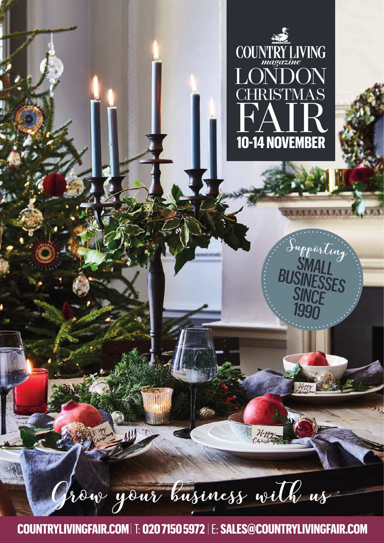

SMALL

Supporting

BUSINESSES

99

Grow your business with us

 **COUNTRYLIVINGFAIR.COM** |T: **020 7150 5972** |E: **SALES@COUNTRYLIVINGFAIR.COM**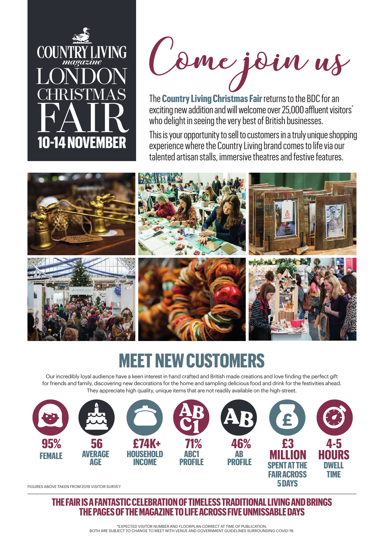

Come join us

The **Country Living Christmas Fair**returns to the BDC for an exciting new addition and will welcome over 25,000 affluent visitors<sup>\*</sup> who delight in seeing the very best of British businesses.

This is your opportunity to sell to customers in a truly unique shopping experience where the Country Living brand comes to life via our talented artisan stalls, immersive theatres and festive features.



## **MEET NEW CUSTOMERS**

Our incredibly loyal audience have a keen interest in hand crafted and British made creations and love finding the perfect gift for friends and family, discovering new decorations for the home and sampling delicious food and drink for the festivities ahead. They appreciate high quality, unique items that are not readily available on the high-street.



FIGURES ABOVE TAKEN FROM 2019 VISITOR SURVEY

**THE FAIR IS A FANTASTIC CELEBRATION OF TIMELESS TRADITIONAL LIVING AND BRINGS THE PAGES OF THE MAGAZINE TO LIFE ACROSS FIVE UNMISSABLE DAYS**